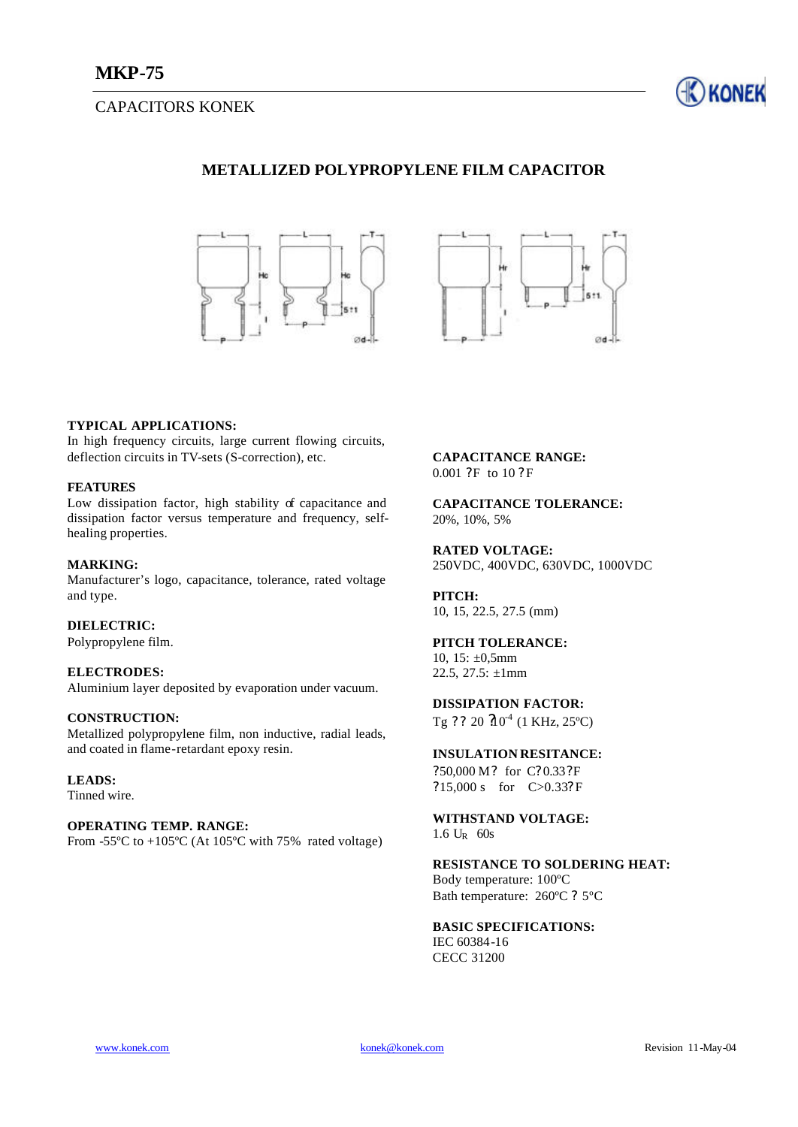# CAPACITORS KONEK



# **METALLIZED POLYPROPYLENE FILM CAPACITOR**





#### **TYPICAL APPLICATIONS:**

In high frequency circuits, large current flowing circuits, deflection circuits in TV-sets (S-correction), etc.

#### **FEATURES**

Low dissipation factor, high stability of capacitance and dissipation factor versus temperature and frequency, selfhealing properties.

#### **MARKING:**

Manufacturer's logo, capacitance, tolerance, rated voltage and type.

### **DIELECTRIC:**

Polypropylene film.

#### **ELECTRODES:**

Aluminium layer deposited by evaporation under vacuum.

#### **CONSTRUCTION:**

Metallized polypropylene film, non inductive, radial leads, and coated in flame-retardant epoxy resin.

### **LEADS:**

Tinned wire.

### **OPERATING TEMP. RANGE:**

From  $-55^{\circ}$ C to  $+105^{\circ}$ C (At 105<sup>o</sup>C with 75% rated voltage)

#### **CAPACITANCE RANGE:** 0.001 ?F to 10 ? F

**CAPACITANCE TOLERANCE:** 20%, 10%, 5%

**RATED VOLTAGE:** 250VDC, 400VDC, 630VDC, 1000VDC

**PITCH:** 10, 15, 22.5, 27.5 (mm)

### **PITCH TOLERANCE:**

10,  $15: \pm 0.5$ mm 22.5, 27.5:  $\pm 1$ mm

# **DISSIPATION FACTOR:**

Tg ? ? 20  $20^{4}$  (1 KHz, 25°C)

## **INSULATION RESITANCE:**

?50,000 M? for C? 0.33?F ?15,000 s for C>0.33? F

**WITHSTAND VOLTAGE:**  $1.6 U_R$  60s

### **RESISTANCE TO SOLDERING HEAT:**

Body temperature: 100ºC Bath temperature: 260ºC ? 5ºC

### **BASIC SPECIFICATIONS:**

IEC 60384-16 CECC 31200